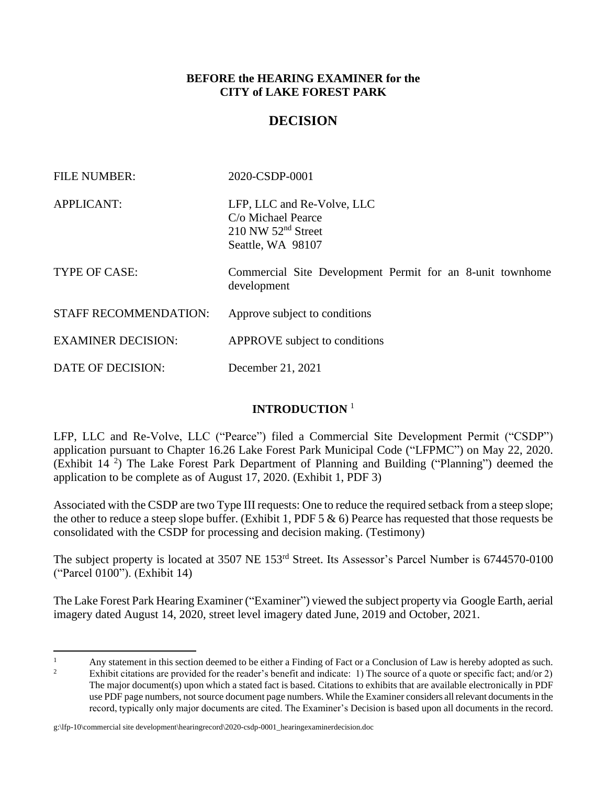#### **BEFORE the HEARING EXAMINER for the CITY of LAKE FOREST PARK**

# **DECISION**

| <b>FILE NUMBER:</b>          | 2020-CSDP-0001                                                                                  |
|------------------------------|-------------------------------------------------------------------------------------------------|
| <b>APPLICANT:</b>            | LFP, LLC and Re-Volve, LLC<br>C/o Michael Pearce<br>$210$ NW $52nd$ Street<br>Seattle, WA 98107 |
| TYPE OF CASE:                | Commercial Site Development Permit for an 8-unit townhome<br>development                        |
| <b>STAFF RECOMMENDATION:</b> | Approve subject to conditions                                                                   |
| <b>EXAMINER DECISION:</b>    | APPROVE subject to conditions                                                                   |
| DATE OF DECISION:            | December 21, 2021                                                                               |

### **INTRODUCTION** <sup>1</sup>

LFP, LLC and Re-Volve, LLC ("Pearce") filed a Commercial Site Development Permit ("CSDP") application pursuant to Chapter 16.26 Lake Forest Park Municipal Code ("LFPMC") on May 22, 2020. (Exhibit 14<sup>2</sup>) The Lake Forest Park Department of Planning and Building ("Planning") deemed the application to be complete as of August 17, 2020. (Exhibit 1, PDF 3)

Associated with the CSDP are two Type III requests: One to reduce the required setback from a steep slope; the other to reduce a steep slope buffer. (Exhibit 1, PDF 5  $\&$  6) Pearce has requested that those requests be consolidated with the CSDP for processing and decision making. (Testimony)

The subject property is located at 3507 NE 153<sup>rd</sup> Street. Its Assessor's Parcel Number is 6744570-0100 ("Parcel 0100"). (Exhibit 14)

The Lake Forest Park Hearing Examiner ("Examiner") viewed the subject property via Google Earth, aerial imagery dated August 14, 2020, street level imagery dated June, 2019 and October, 2021.

#### g:\lfp-10\commercial site development\hearingrecord\2020-csdp-0001\_hearingexaminerdecision.doc

<sup>&</sup>lt;sup>1</sup> Any statement in this section deemed to be either a Finding of Fact or a Conclusion of Law is hereby adopted as such.<br><sup>2</sup> Enhibit site time are argued at for the gradual herefit and indicated 1). The gauge of a gradua

Exhibit citations are provided for the reader's benefit and indicate: 1) The source of a quote or specific fact; and/or 2) The major document(s) upon which a stated fact is based. Citations to exhibits that are available electronically in PDF use PDF page numbers, not source document page numbers. While the Examiner considers all relevant documents in the record, typically only major documents are cited. The Examiner's Decision is based upon all documents in the record.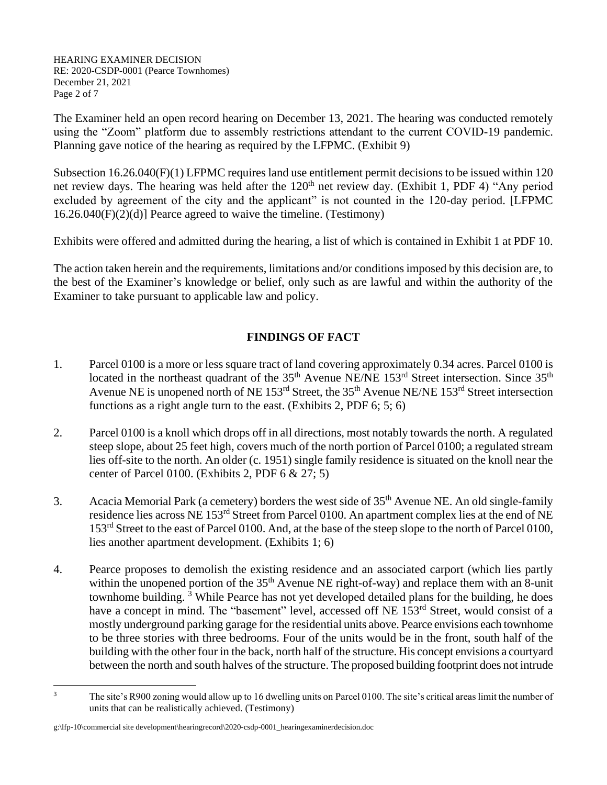HEARING EXAMINER DECISION RE: 2020-CSDP-0001 (Pearce Townhomes) December 21, 2021 Page 2 of 7

The Examiner held an open record hearing on December 13, 2021. The hearing was conducted remotely using the "Zoom" platform due to assembly restrictions attendant to the current COVID-19 pandemic. Planning gave notice of the hearing as required by the LFPMC. (Exhibit 9)

Subsection 16.26.040(F)(1) LFPMC requires land use entitlement permit decisions to be issued within 120 net review days. The hearing was held after the 120<sup>th</sup> net review day. (Exhibit 1, PDF 4) "Any period excluded by agreement of the city and the applicant" is not counted in the 120-day period. [LFPMC] 16.26.040(F)(2)(d)] Pearce agreed to waive the timeline. (Testimony)

Exhibits were offered and admitted during the hearing, a list of which is contained in Exhibit 1 at PDF 10.

The action taken herein and the requirements, limitations and/or conditions imposed by this decision are, to the best of the Examiner's knowledge or belief, only such as are lawful and within the authority of the Examiner to take pursuant to applicable law and policy.

# **FINDINGS OF FACT**

- 1. Parcel 0100 is a more or less square tract of land covering approximately 0.34 acres. Parcel 0100 is located in the northeast quadrant of the  $35<sup>th</sup>$  Avenue NE/NE  $153<sup>rd</sup>$  Street intersection. Since  $35<sup>th</sup>$ Avenue NE is unopened north of NE 153<sup>rd</sup> Street, the 35<sup>th</sup> Avenue NE/NE 153<sup>rd</sup> Street intersection functions as a right angle turn to the east. (Exhibits 2, PDF 6; 5; 6)
- 2. Parcel 0100 is a knoll which drops off in all directions, most notably towards the north. A regulated steep slope, about 25 feet high, covers much of the north portion of Parcel 0100; a regulated stream lies off-site to the north. An older (c. 1951) single family residence is situated on the knoll near the center of Parcel 0100. (Exhibits 2, PDF 6 & 27; 5)
- 3. Acacia Memorial Park (a cemetery) borders the west side of 35th Avenue NE. An old single-family residence lies across NE 153rd Street from Parcel 0100. An apartment complex lies at the end of NE 153<sup>rd</sup> Street to the east of Parcel 0100. And, at the base of the steep slope to the north of Parcel 0100, lies another apartment development. (Exhibits 1; 6)
- 4. Pearce proposes to demolish the existing residence and an associated carport (which lies partly within the unopened portion of the  $35<sup>th</sup>$  Avenue NE right-of-way) and replace them with an 8-unit townhome building.  $3$  While Pearce has not yet developed detailed plans for the building, he does have a concept in mind. The "basement" level, accessed off NE 153<sup>rd</sup> Street, would consist of a mostly underground parking garage for the residential units above. Pearce envisions each townhome to be three stories with three bedrooms. Four of the units would be in the front, south half of the building with the other four in the back, north half of the structure. His concept envisions a courtyard between the north and south halves of the structure. The proposed building footprint does not intrude

<sup>&</sup>lt;sup>3</sup> The site's R900 zoning would allow up to 16 dwelling units on Parcel 0100. The site's critical areas limit the number of units that can be realistically achieved. (Testimony)

g:\lfp-10\commercial site development\hearingrecord\2020-csdp-0001\_hearingexaminerdecision.doc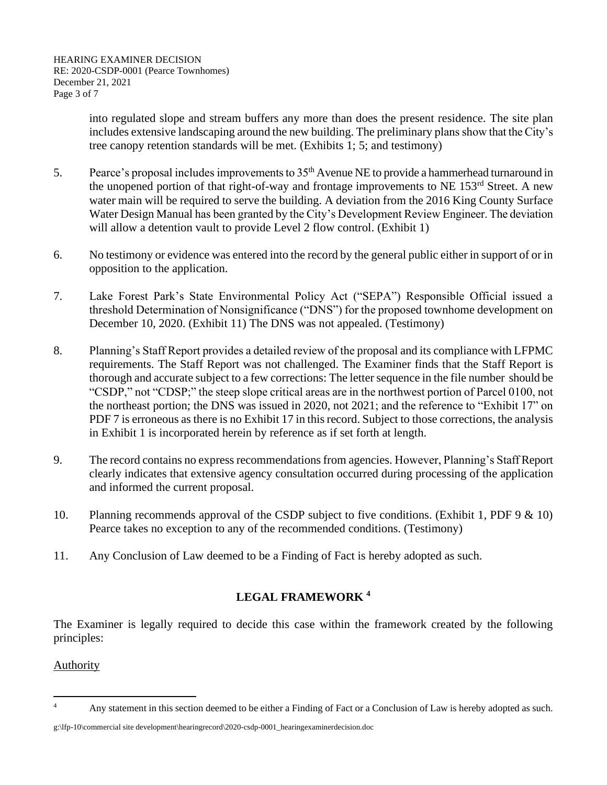into regulated slope and stream buffers any more than does the present residence. The site plan includes extensive landscaping around the new building. The preliminary plans show that the City's tree canopy retention standards will be met. (Exhibits 1; 5; and testimony)

- 5. Pearce's proposal includes improvements to 35<sup>th</sup> Avenue NE to provide a hammerhead turnaround in the unopened portion of that right-of-way and frontage improvements to NE 153<sup>rd</sup> Street. A new water main will be required to serve the building. A deviation from the 2016 King County Surface Water Design Manual has been granted by the City's Development Review Engineer. The deviation will allow a detention vault to provide Level 2 flow control. (Exhibit 1)
- 6. No testimony or evidence was entered into the record by the general public either in support of or in opposition to the application.
- 7. Lake Forest Park's State Environmental Policy Act ("SEPA") Responsible Official issued a threshold Determination of Nonsignificance ("DNS") for the proposed townhome development on December 10, 2020. (Exhibit 11) The DNS was not appealed. (Testimony)
- 8. Planning's Staff Report provides a detailed review of the proposal and its compliance with LFPMC requirements. The Staff Report was not challenged. The Examiner finds that the Staff Report is thorough and accurate subject to a few corrections: The letter sequence in the file number should be "CSDP," not "CDSP;" the steep slope critical areas are in the northwest portion of Parcel 0100, not the northeast portion; the DNS was issued in 2020, not 2021; and the reference to "Exhibit 17" on PDF 7 is erroneous as there is no Exhibit 17 in this record. Subject to those corrections, the analysis in Exhibit 1 is incorporated herein by reference as if set forth at length.
- 9. The record contains no express recommendations from agencies. However, Planning's Staff Report clearly indicates that extensive agency consultation occurred during processing of the application and informed the current proposal.
- 10. Planning recommends approval of the CSDP subject to five conditions. (Exhibit 1, PDF 9 & 10) Pearce takes no exception to any of the recommended conditions. (Testimony)
- 11. Any Conclusion of Law deemed to be a Finding of Fact is hereby adopted as such.

# **LEGAL FRAMEWORK <sup>4</sup>**

The Examiner is legally required to decide this case within the framework created by the following principles:

### Authority

g:\lfp-10\commercial site development\hearingrecord\2020-csdp-0001\_hearingexaminerdecision.doc

<sup>&</sup>lt;sup>4</sup> Any statement in this section deemed to be either a Finding of Fact or a Conclusion of Law is hereby adopted as such.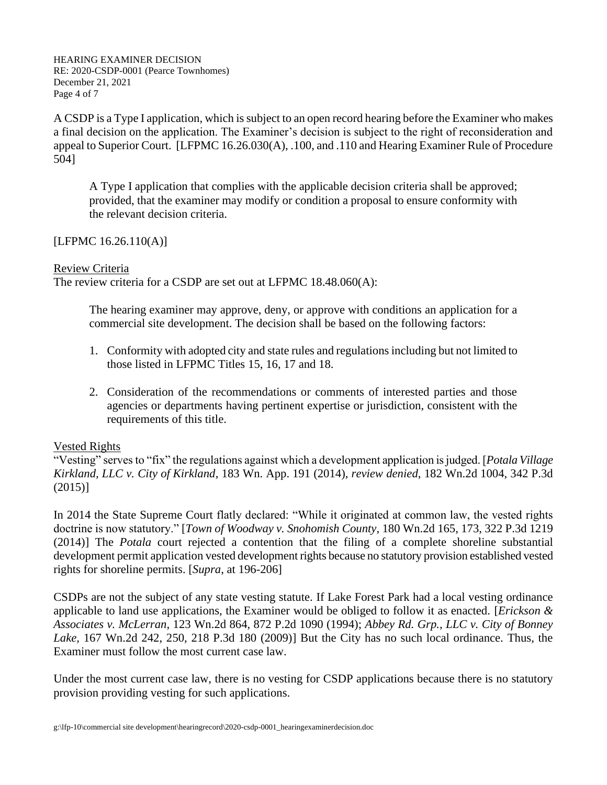HEARING EXAMINER DECISION RE: 2020-CSDP-0001 (Pearce Townhomes) December 21, 2021 Page 4 of 7

A CSDP is a Type I application, which is subject to an open record hearing before the Examiner who makes a final decision on the application. The Examiner's decision is subject to the right of reconsideration and appeal to Superior Court. [LFPMC 16.26.030(A), .100, and .110 and Hearing Examiner Rule of Procedure 504]

A Type I application that complies with the applicable decision criteria shall be approved; provided, that the examiner may modify or condition a proposal to ensure conformity with the relevant decision criteria.

[LFPMC 16.26.110(A)]

#### Review Criteria

The review criteria for a CSDP are set out at LFPMC 18.48.060(A):

The hearing examiner may approve, deny, or approve with conditions an application for a commercial site development. The decision shall be based on the following factors:

- 1. Conformity with adopted city and state rules and regulations including but not limited to those listed in LFPMC Titles 15, 16, 17 and 18.
- 2. Consideration of the recommendations or comments of interested parties and those agencies or departments having pertinent expertise or jurisdiction, consistent with the requirements of this title.

### Vested Rights

"Vesting" serves to "fix" the regulations against which a development application is judged. [*Potala Village Kirkland, LLC v. City of Kirkland*, 183 Wn. App. 191 (2014), *review denied*, 182 Wn.2d 1004, 342 P.3d (2015)]

In 2014 the State Supreme Court flatly declared: "While it originated at common law, the vested rights doctrine is now statutory." [*Town of Woodway v. Snohomish County*, 180 Wn.2d 165, 173, 322 P.3d 1219 (2014)] The *Potala* court rejected a contention that the filing of a complete shoreline substantial development permit application vested development rights because no statutory provision established vested rights for shoreline permits. [*Supra*, at 196-206]

CSDPs are not the subject of any state vesting statute. If Lake Forest Park had a local vesting ordinance applicable to land use applications, the Examiner would be obliged to follow it as enacted. [*Erickson & Associates v. McLerran*, 123 Wn.2d 864, 872 P.2d 1090 (1994); *Abbey Rd. Grp., LLC v. City of Bonney Lake,* 167 Wn.2d 242, 250, 218 P.3d 180 (2009)] But the City has no such local ordinance. Thus, the Examiner must follow the most current case law.

Under the most current case law, there is no vesting for CSDP applications because there is no statutory provision providing vesting for such applications.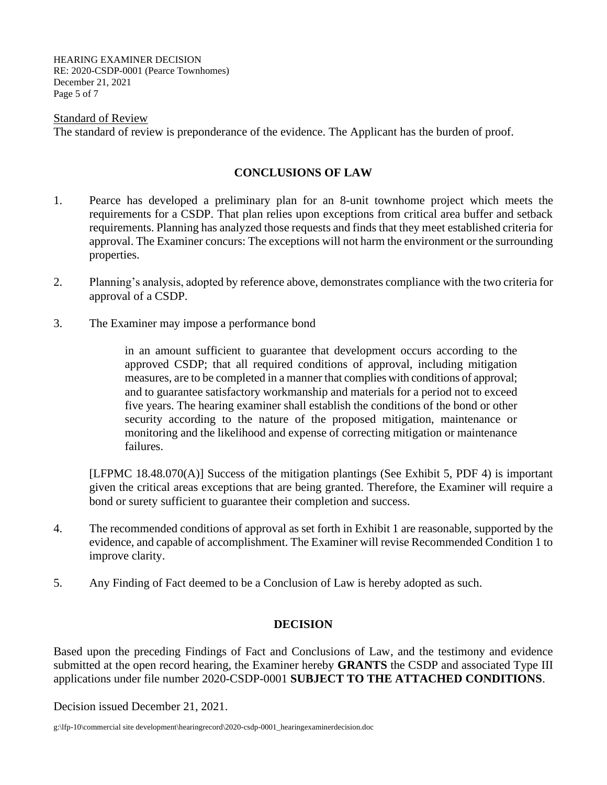HEARING EXAMINER DECISION RE: 2020-CSDP-0001 (Pearce Townhomes) December 21, 2021 Page 5 of 7

Standard of Review The standard of review is preponderance of the evidence. The Applicant has the burden of proof.

#### **CONCLUSIONS OF LAW**

- 1. Pearce has developed a preliminary plan for an 8-unit townhome project which meets the requirements for a CSDP. That plan relies upon exceptions from critical area buffer and setback requirements. Planning has analyzed those requests and finds that they meet established criteria for approval. The Examiner concurs: The exceptions will not harm the environment or the surrounding properties.
- 2. Planning's analysis, adopted by reference above, demonstrates compliance with the two criteria for approval of a CSDP.
- 3. The Examiner may impose a performance bond

in an amount sufficient to guarantee that development occurs according to the approved CSDP; that all required conditions of approval, including mitigation measures, are to be completed in a manner that complies with conditions of approval; and to guarantee satisfactory workmanship and materials for a period not to exceed five years. The hearing examiner shall establish the conditions of the bond or other security according to the nature of the proposed mitigation, maintenance or monitoring and the likelihood and expense of correcting mitigation or maintenance failures.

[LFPMC 18.48.070(A)] Success of the mitigation plantings (See Exhibit 5, PDF 4) is important given the critical areas exceptions that are being granted. Therefore, the Examiner will require a bond or surety sufficient to guarantee their completion and success.

- 4. The recommended conditions of approval as set forth in Exhibit 1 are reasonable, supported by the evidence, and capable of accomplishment. The Examiner will revise Recommended Condition 1 to improve clarity.
- 5. Any Finding of Fact deemed to be a Conclusion of Law is hereby adopted as such.

### **DECISION**

Based upon the preceding Findings of Fact and Conclusions of Law, and the testimony and evidence submitted at the open record hearing, the Examiner hereby **GRANTS** the CSDP and associated Type III applications under file number 2020-CSDP-0001 **SUBJECT TO THE ATTACHED CONDITIONS**.

Decision issued December 21, 2021.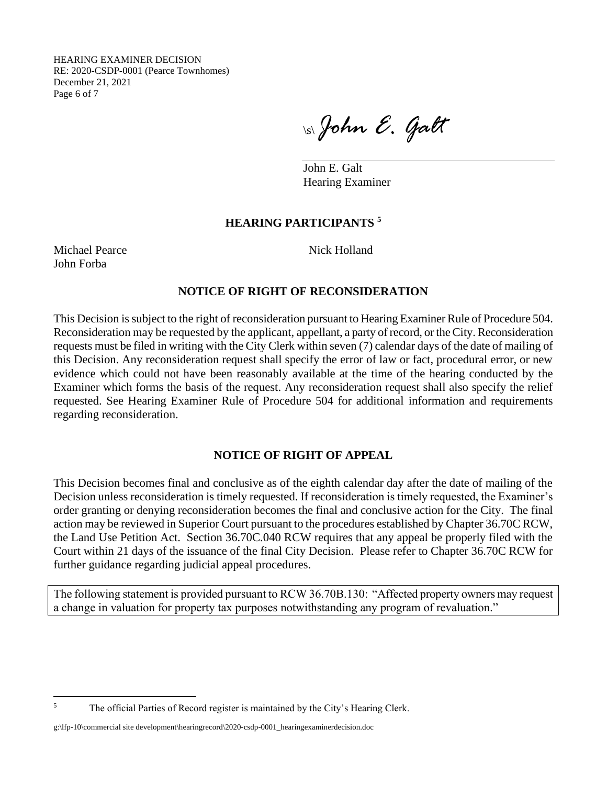HEARING EXAMINER DECISION RE: 2020-CSDP-0001 (Pearce Townhomes) December 21, 2021 Page 6 of 7

\s\*John E. Galt*

John E. Galt Hearing Examiner

# **HEARING PARTICIPANTS <sup>5</sup>**

Michael Pearce Nick Holland John Forba

### **NOTICE OF RIGHT OF RECONSIDERATION**

This Decision is subject to the right of reconsideration pursuant to Hearing Examiner Rule of Procedure 504. Reconsideration may be requested by the applicant, appellant, a party of record, or the City. Reconsideration requests must be filed in writing with the City Clerk within seven (7) calendar days of the date of mailing of this Decision. Any reconsideration request shall specify the error of law or fact, procedural error, or new evidence which could not have been reasonably available at the time of the hearing conducted by the Examiner which forms the basis of the request. Any reconsideration request shall also specify the relief requested. See Hearing Examiner Rule of Procedure 504 for additional information and requirements regarding reconsideration.

# **NOTICE OF RIGHT OF APPEAL**

This Decision becomes final and conclusive as of the eighth calendar day after the date of mailing of the Decision unless reconsideration is timely requested. If reconsideration is timely requested, the Examiner's order granting or denying reconsideration becomes the final and conclusive action for the City. The final action may be reviewed in Superior Court pursuant to the procedures established by Chapter 36.70C RCW, the Land Use Petition Act. Section 36.70C.040 RCW requires that any appeal be properly filed with the Court within 21 days of the issuance of the final City Decision. Please refer to Chapter 36.70C RCW for further guidance regarding judicial appeal procedures.

The following statement is provided pursuant to RCW 36.70B.130: "Affected property owners may request a change in valuation for property tax purposes notwithstanding any program of revaluation."

<sup>&</sup>lt;sup>5</sup> The official Parties of Record register is maintained by the City's Hearing Clerk.

g:\lfp-10\commercial site development\hearingrecord\2020-csdp-0001\_hearingexaminerdecision.doc